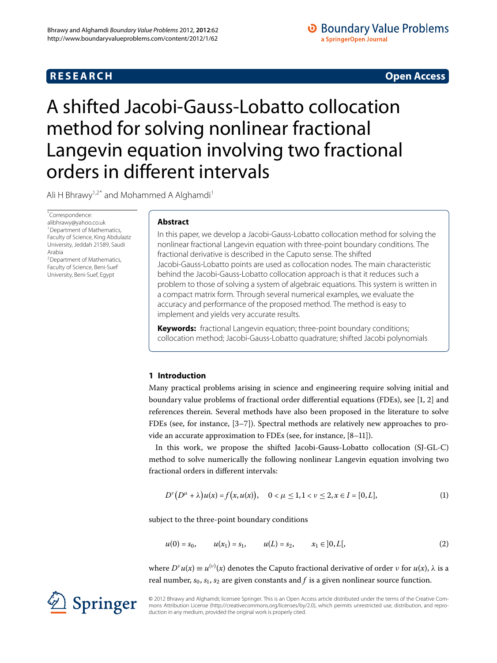## **RESEARCH CONSTRUCTED ACCESS**

## **O** Boundary Value Problems a SpringerOpen Journal

# <span id="page-0-2"></span>A shifted Jacobi-Gauss-Lobatto collocation method for solving nonlinear fractional Langevin equation involving two fractional orders in different intervals

<span id="page-0-1"></span><span id="page-0-0"></span>Ali H Bhrawy<sup>[1](#page-0-0),[2](#page-0-1)[\\*](#page-0-2)</sup> and Mohammed A Alghamdi<sup>1</sup>

\* Correspondence: [alibhrawy@yahoo.co.uk](mailto:alibhrawy@yahoo.co.uk) <sup>1</sup> Department of Mathematics, Faculty of Science, King Abdulaziz University, Jeddah 21589, Saudi Arabia

2Department of Mathematics, Faculty of Science, Beni-Suef University, Beni-Suef, Egypt

## **Abstract**

In this paper, we develop a Jacobi-Gauss-Lobatto collocation method for solving the nonlinear fractional Langevin equation with three-point boundary conditions. The fractional derivative is described in the Caputo sense. The shifted Jacobi-Gauss-Lobatto points are used as collocation nodes. The main characteristic behind the Jacobi-Gauss-Lobatto collocation approach is that it reduces such a problem to those of solving a system of algebraic equations. This system is written in a compact matrix form. Through several numerical examples, we evaluate the accuracy and performance of the proposed method. The method is easy to implement and yields very accurate results.

**Keywords:** fractional Langevin equation; three-point boundary conditions; collocation method; Jacobi-Gauss-Lobatto quadrature; shifted Jacobi polynomials

## **1 Introduction**

Many practical problems arising in science and engineering require solving initial and boundary value problems of fractional order differential equations (FDEs), see [\[](#page-11-0)1, 2] and references therein. Several methods have also been proposed in the literature to solve FDEs (see, for instance,  $[3-7]$ ). Spectral methods are relatively new approaches to provide an accurate approximation to FDEs (see, for instance,  $[8-11]$  $[8-11]$ ).

In this work, we propose the shifted Jacobi-Gauss-Lobatto collocation (SJ-GL-C) method to solve numerically the following nonlinear Langevin equation involving two fractional orders in different intervals:

$$
D^{\nu}(D^{\mu} + \lambda)u(x) = f(x, u(x)), \quad 0 < \mu \le 1, 1 < \nu \le 2, x \in I = [0, L],
$$
 (1)

subject to the three-point boundary conditions

$$
u(0) = s_0, \qquad u(x_1) = s_1, \qquad u(L) = s_2, \qquad x_1 \in ]0, L[, \tag{2}
$$

 $w$ here *D<sup>ν</sup>*  $u(x) \equiv u^{(v)}(x)$  denotes the Caputo fractional derivative of order *ν* for  $u(x)$ , *λ* is a real number,  $s_0$ ,  $s_1$ ,  $s_2$  are given constants and  $f$  is a given nonlinear source function.

© 2012 Bhrawy and Alghamdi; licensee Springer. This is an Open Access article distributed under the terms of the Creative Commons Attribution License (<http://creativecommons.org/licenses/by/2.0>), which permits unrestricted use, distribution, and reproduction in any medium, provided the original work is properly cited.

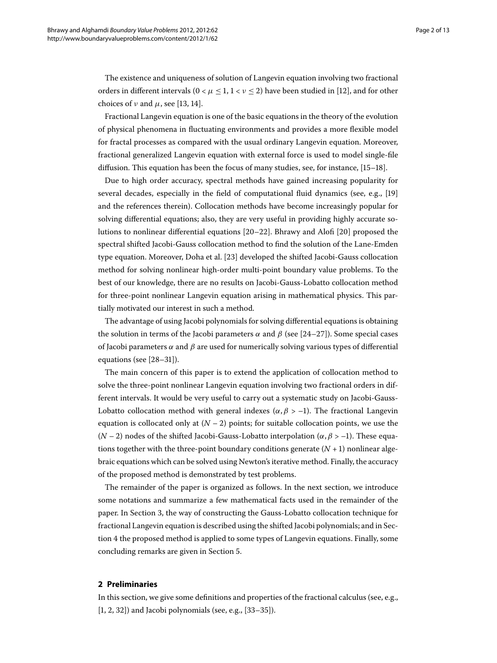The existence and uniqueness of solution of Langevin equation involving two fractional orders in different intervals  $(0 \lt \mu \leq 1, 1 \lt \nu \leq 2)$  have been studied in [12[\]](#page-11-6), and for other choices of  $\nu$  and  $\mu$ , see [\[](#page-11-7)13, 14[\]](#page-11-8).

Fractional Langevin equation is one of the basic equations in the theory of the evolution of physical phenomena in fluctuating environments and provides a more flexible model for fractal processes as compared with the usual ordinary Langevin equation. Moreover, fractional generalized Langevin equation with external force is used to model single-file diffusion. This equation has been the focus of many studies, see, for instance,  $[15-18]$  $[15-18]$ .

Due to high order accuracy, spectral methods have gained increasing popularity for several decades, especially in the field of computational fluid dynamics (see, e.g., [19] and the references therein). Collocation methods have become increasingly popular for solving differential equations; also, they are very useful in providing highly accurate solutions to nonlinear differential equations  $[20-22]$  $[20-22]$ . Bhrawy and Alofi  $[20]$  proposed the spectral shifted Jacobi-Gauss collocation method to find the solution of the Lane-Emden type equation. Moreover, Doha et al. [23[\]](#page-12-5) developed the shifted Jacobi-Gauss collocation method for solving nonlinear high-order multi-point boundary value problems. To the best of our knowledge, there are no results on Jacobi-Gauss-Lobatto collocation method for three-point nonlinear Langevin equation arising in mathematical physics. This partially motivated our interest in such a method.

The advantage of using Jacobi polynomials for solving differential equations is obtaining the solution in terms of the Jacobi parameters *α* and *β* (see [24[–](#page-12-7)27]). Some special cases of Jacobi parameters  $\alpha$  and  $\beta$  are used for numerically solving various types of differential equations (see  $[28-31]$  $[28-31]$ ).

The main concern of this paper is to extend the application of collocation method to solve the three-point nonlinear Langevin equation involving two fractional orders in different intervals. It would be very useful to carry out a systematic study on Jacobi-Gauss-Lobatto collocation method with general indexes ( $\alpha$ ,  $\beta$  > -1). The fractional Langevin equation is collocated only at  $(N - 2)$  points; for suitable collocation points, we use the ( $N-2$ ) nodes of the shifted Jacobi-Gauss-Lobatto interpolation ( $\alpha$ ,  $\beta$  > -1). These equations together with the three-point boundary conditions generate  $(N + 1)$  nonlinear algebraic equations which can be solved using Newton's iterative method. Finally, the accuracy of the proposed method is demonstrated by test problems.

The remainder of the paper is organized as follows. In the next section, we introduce some notations and summarize a few mathematical facts used in the remainder of the paper. In Section 3, the way of constructing the Gauss-Lobatto collocation technique for fractional Langevin equation is described using the shifted Jacobi polynomials; and in Section 4 the proposed method is applied to some types of Langevin equations. Finally, some concluding remarks are given in Section 5[.](#page-10-0)

#### **2 Preliminaries**

In this section, we give some definitions and properties of the fractional calculus (see, e.g.,  $[1, 2, 32]$  $[1, 2, 32]$  $[1, 2, 32]$  $[1, 2, 32]$ ) and Jacobi polynomials (see, e.g.,  $[33-35]$  $[33-35]$ ).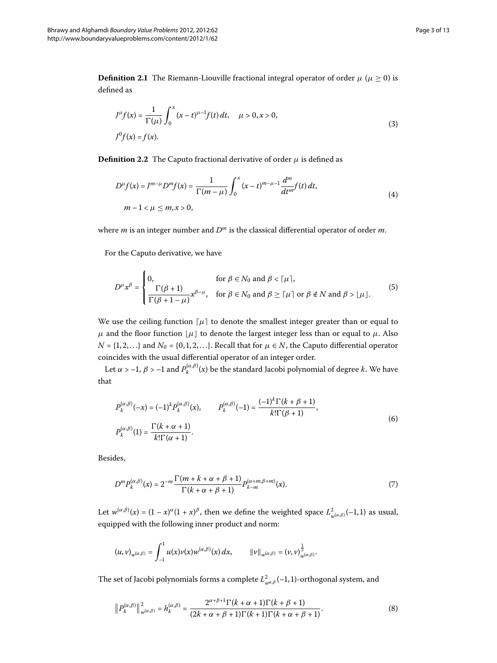**Definition 2.1** The Riemann-Liouville fractional integral operator of order  $\mu$  ( $\mu \ge 0$ ) is defined as

$$
J^{\mu}f(x) = \frac{1}{\Gamma(\mu)} \int_0^x (x - t)^{\mu - 1} f(t) dt, \quad \mu > 0, x > 0,
$$
  

$$
J^0f(x) = f(x).
$$
 (3)

**Definition 2.2** The Caputo fractional derivative of order  $\mu$  is defined as

$$
D^{\mu}f(x) = J^{m-\mu}D^m f(x) = \frac{1}{\Gamma(m-\mu)} \int_0^x (x-t)^{m-\mu-1} \frac{d^m}{dt^m} f(t) dt,
$$
  
 
$$
m-1 < \mu \le m, x > 0,
$$
 (4)

where *m* is an integer number and *D<sup>m</sup>* is the classical differential operator of order *m*.

For the Caputo derivative, we have

$$
D^{\mu}x^{\beta} = \begin{cases} 0, & \text{for } \beta \in N_0 \text{ and } \beta < \lceil \mu \rceil, \\ \frac{\Gamma(\beta+1)}{\Gamma(\beta+1-\mu)}x^{\beta-\mu}, & \text{for } \beta \in N_0 \text{ and } \beta \geq \lceil \mu \rceil \text{ or } \beta \notin N \text{ and } \beta > \lfloor \mu \rfloor. \end{cases}
$$
(5)

We use the ceiling function  $\lceil \mu \rceil$  to denote the smallest integer greater than or equal to *μ* and the floor function  $\lfloor μ \rfloor$  to denote the largest integer less than or equal to *μ*. Also  $N = \{1, 2, ...\}$  and  $N_0 = \{0, 1, 2, ...\}$ . Recall that for  $\mu \in N$ , the Caputo differential operator coincides with the usual differential operator of an integer order.

Let  $\alpha > -1$ ,  $\beta > -1$  and  $P_k^{(\alpha,\beta)}(x)$  be the standard Jacobi polynomial of degree *k*. We have that

<span id="page-2-0"></span>
$$
P_k^{(\alpha,\beta)}(-x) = (-1)^k P_k^{(\alpha,\beta)}(x), \qquad P_k^{(\alpha,\beta)}(-1) = \frac{(-1)^k \Gamma(k+\beta+1)}{k! \Gamma(\beta+1)},
$$
  
\n
$$
P_k^{(\alpha,\beta)}(1) = \frac{\Gamma(k+\alpha+1)}{k! \Gamma(\alpha+1)}.
$$
\n(6)

Besides,

$$
D^{m}P_{k}^{(\alpha,\beta)}(x) = 2^{-m} \frac{\Gamma(m+k+\alpha+\beta+1)}{\Gamma(k+\alpha+\beta+1)} P_{k-m}^{(\alpha+m,\beta+m)}(x).
$$
 (7)

Let  $w^{(\alpha,\beta)}(x) = (1-x)^{\alpha}(1+x)^{\beta}$ , then we define the weighted space  $L^2_{w^{(\alpha,\beta)}}(-1,1)$  as usual, equipped with the following inner product and norm:

<span id="page-2-1"></span>
$$
(u,v)_{w^{(\alpha,\beta)}} = \int_{-1}^1 u(x) v(x) w^{(\alpha,\beta)}(x) dx, \qquad ||v||_{w^{(\alpha,\beta)}} = (v,v)_{w^{(\alpha,\beta)}}^{\frac{1}{2}}.
$$

The set of Jacobi polynomials forms a complete  $L^2_{w^{\alpha,\beta}}(-1,1)$ -orthogonal system, and

$$
\left\|P_k^{(\alpha,\beta)}\right\|_{w^{(\alpha,\beta)}}^2 = h_k^{(\alpha,\beta)} = \frac{2^{\alpha+\beta+1}\Gamma(k+\alpha+1)\Gamma(k+\beta+1)}{(2k+\alpha+\beta+1)\Gamma(k+1)\Gamma(k+\alpha+\beta+1)}.\tag{8}
$$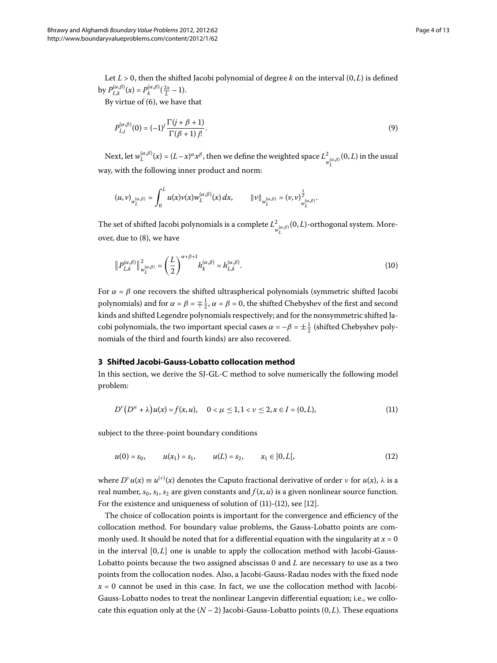Let  $L > 0$ , then the shifted Jacobi polynomial of degree k on the interval  $(0, L)$  is defined by  $P_{L,k}^{(\alpha,\beta)}(x) = P_k^{(\alpha,\beta)}(\frac{2x}{L} - 1).$ 

By virtue of  $(6)$  $(6)$ , we have that

<span id="page-3-3"></span>
$$
P_{L,j}^{(\alpha,\beta)}(0) = (-1)^j \frac{\Gamma(j+\beta+1)}{\Gamma(\beta+1)j!}.
$$
\n
$$
(9)
$$

Next, let  $w_L^{(\alpha,\beta)}(x) = (L-x)^\alpha x^\beta$ , then we define the weighted space  $L^2_{w_L^{(\alpha,\beta)}}(0,L)$  in the usual way, with the following inner product and norm:

$$
(u,v)_{w_L^{(\alpha,\beta)}} = \int_0^L u(x) \nu(x) w_L^{(\alpha,\beta)}(x) \, dx, \qquad ||v||_{w_L^{(\alpha,\beta)}} = (v,v)_{w_L^{(\alpha,\beta)}}^{\frac{1}{2}}.
$$

The set of shifted Jacobi polynomials is a complete  $L^2_{w_L^{(\alpha,\beta)}}(0,L)$ -orthogonal system. Moreover, due to  $(8)$  $(8)$ , we have

$$
\left\|P_{L,k}^{(\alpha,\beta)}\right\|_{w_L^{(\alpha,\beta)}}^2 = \left(\frac{L}{2}\right)^{\alpha+\beta+1} h_k^{(\alpha,\beta)} = h_{L,k}^{(\alpha,\beta)}.
$$
\n(10)

<span id="page-3-0"></span>For  $\alpha = \beta$  one recovers the shifted ultraspherical polynomials (symmetric shifted Jacobi polynomials) and for  $\alpha = \beta = \pm \frac{1}{2}$ ,  $\alpha = \beta = 0$ , the shifted Chebyshev of the first and second kinds and shifted Legendre polynomials respectively; and for the nonsymmetric shifted Jacobi polynomials, the two important special cases  $\alpha = -\beta = \pm \frac{1}{2}$  (shifted Chebyshev polynomials of the third and fourth kinds) are also recovered.

#### **3 Shifted Jacobi-Gauss-Lobatto collocation method**

In this section, we derive the SJ-GL-C method to solve numerically the following model problem:

<span id="page-3-2"></span><span id="page-3-1"></span>
$$
D^{\nu}(D^{\mu} + \lambda)u(x) = f(x, u), \quad 0 < \mu \le 1, 1 < \nu \le 2, x \in I = (0, L), \tag{11}
$$

subject to the three-point boundary conditions

$$
u(0) = s_0, \qquad u(x_1) = s_1, \qquad u(L) = s_2, \qquad x_1 \in ]0, L[, \tag{12}
$$

where  $D^{\nu}u(x) \equiv u^{(\nu)}(x)$  denotes the Caputo fractional derivative of order  $\nu$  for  $u(x)$ ,  $\lambda$  is a real number,  $s_0$ ,  $s_1$ ,  $s_2$  are given constants and  $f(x, u)$  is a given nonlinear source function. For the existence and uniqueness of solution of  $(11)-(12)$  $(11)-(12)$ , see  $[12]$  $[12]$ .

The choice of collocation points is important for the convergence and efficiency of the collocation method. For boundary value problems, the Gauss-Lobatto points are commonly used. It should be noted that for a differential equation with the singularity at  $x = 0$ in the interval  $[0, L]$  one is unable to apply the collocation method with Jacobi-Gauss-Lobatto points because the two assigned abscissas 0 and *L* are necessary to use as a two points from the collocation nodes. Also, a Jacobi-Gauss-Radau nodes with the fixed node  $x = 0$  cannot be used in this case. In fact, we use the collocation method with Jacobi-Gauss-Lobatto nodes to treat the nonlinear Langevin differential equation; i.e., we collocate this equation only at the  $(N-2)$  Jacobi-Gauss-Lobatto points  $(0, L)$ . These equations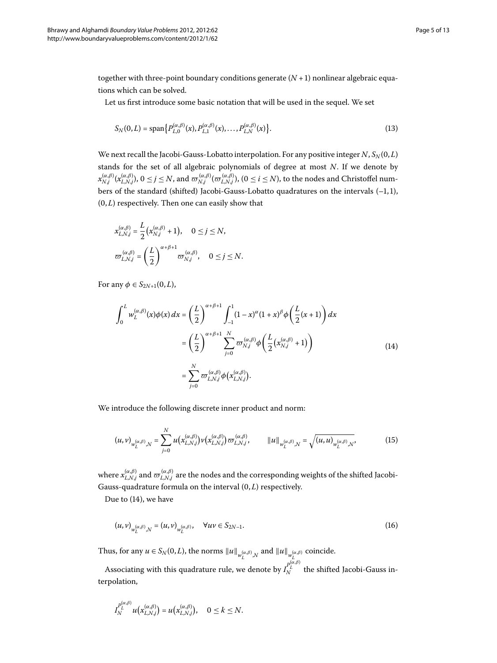together with three-point boundary conditions generate  $(N + 1)$  nonlinear algebraic equations which can be solved.

Let us first introduce some basic notation that will be used in the sequel. We set

$$
S_N(0,L) = \text{span}\{P_{L,0}^{(\alpha,\beta)}(x), P_{L,1}^{(\alpha,\beta)}(x), \dots, P_{L,N}^{(\alpha,\beta)}(x)\}.
$$
\n(13)

We next recall the Jacobi-Gauss-Lobatto interpolation. For any positive integer  $N$ ,  $S_N(0,L)$ stands for the set of all algebraic polynomials of degree at most *N*. If we denote by  $x_{N,j}^{(\alpha,\beta)}(x_{L,N,j}^{(\alpha,\beta)}),\,0\leq j\leq N,$  and  $\varpi_{N,j}^{(\alpha,\beta)}(\varpi_{L,N,j}^{(\alpha,\beta)}),\,(0\leq i\leq N),$  to the nodes and Christoffel numbers of the standard (shifted) Jacobi-Gauss-Lobatto quadratures on the intervals  $(-1,1)$ ,  $(0, L)$  respectively. Then one can easily show that

$$
x_{L,N,j}^{(\alpha,\beta)} = \frac{L}{2} \left( x_{N,j}^{(\alpha,\beta)} + 1 \right), \quad 0 \le j \le N,
$$
  

$$
\varpi_{L,N,j}^{(\alpha,\beta)} = \left( \frac{L}{2} \right)^{\alpha+\beta+1} \varpi_{N,j}^{(\alpha,\beta)}, \quad 0 \le j \le N.
$$

For any  $\phi \in S_{2N+1}(0,L)$ ,

<span id="page-4-0"></span>
$$
\int_0^L w_L^{(\alpha,\beta)}(x)\phi(x) dx = \left(\frac{L}{2}\right)^{\alpha+\beta+1} \int_{-1}^1 (1-x)^{\alpha}(1+x)^{\beta}\phi\left(\frac{L}{2}(x+1)\right) dx
$$

$$
= \left(\frac{L}{2}\right)^{\alpha+\beta+1} \sum_{j=0}^N \varpi_{N,j}^{(\alpha,\beta)}\phi\left(\frac{L}{2}\left(x_{N,j}^{(\alpha,\beta)}+1\right)\right)
$$

$$
= \sum_{j=0}^N \varpi_{L,N,j}^{(\alpha,\beta)}\phi\left(x_{L,N,j}^{(\alpha,\beta)}\right).
$$
(14)

We introduce the following discrete inner product and norm:

$$
(u,v)_{w_L^{(\alpha,\beta)},N} = \sum_{j=0}^N u\big(x_{L,N,j}^{(\alpha,\beta)}\big)v\big(x_{L,N,j}^{(\alpha,\beta)}\big)\varpi_{L,N,j}^{(\alpha,\beta)}, \qquad \|u\|_{w_L^{(\alpha,\beta)},N} = \sqrt{(u,u)_{w_L^{(\alpha,\beta)},N}},\tag{15}
$$

where  $x_{L,N,j}^{(\alpha,\beta)}$  and  $\varpi_{L,N,j}^{(\alpha,\beta)}$  are the nodes and the corresponding weights of the shifted Jacobi-Gauss-quadrature formula on the interval  $(0, L)$  respectively.

Due to  $(14)$  $(14)$ , we have

$$
(u, v)_{w_L^{(\alpha, \beta)}, N} = (u, v)_{w_L^{(\alpha, \beta)}}, \quad \forall uv \in S_{2N-1}.
$$
 (16)

Thus, for any  $u \in S_N(0,L)$ , the norms  $||u||_{w_L^{(\alpha,\beta)},N}$  and  $||u||_{w_L^{(\alpha,\beta)}}$  coincide. *L*

Associating with this quadrature rule, we denote by *I <sup>P</sup>*(*α*,*β*) *L <sup>N</sup>* the shifted Jacobi-Gauss interpolation,

$$
I_N^{p_L^{(\alpha,\beta)}}u\big(x_{L,N,j}^{(\alpha,\beta)}\big)=u\big(x_{L,N,j}^{(\alpha,\beta)}\big),\quad 0\leq k\leq N.
$$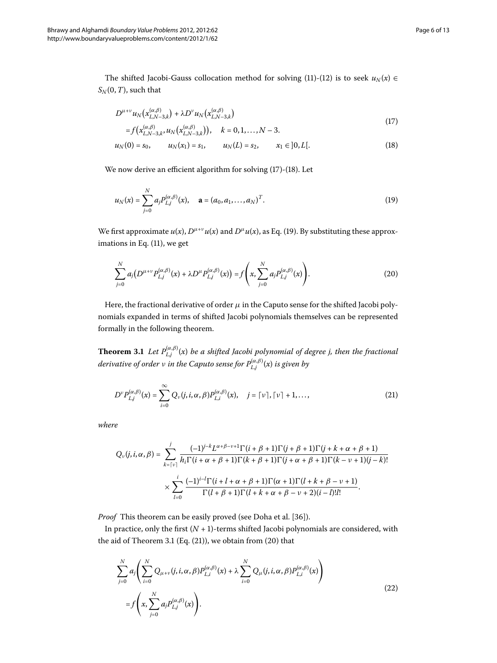The shifted Jacobi-Gauss collocation method for solving [\(](#page-3-2)11)-(12) is to seek  $u_N(x) \in$  $S_N(0, T)$ , such that

<span id="page-5-1"></span><span id="page-5-0"></span>
$$
D^{\mu+\nu}u_N\big(x_{L,N-3,k}^{(\alpha,\beta)}\big) + \lambda D^{\nu}u_N\big(x_{L,N-3,k}^{(\alpha,\beta)}\big)
$$
\n
$$
\left(17\right)
$$

<span id="page-5-2"></span>
$$
= f(x_{L,N-3,k}^{(\alpha,\beta)}, u_N(x_{L,N-3,k}^{(\alpha,\beta)})), \quad k = 0, 1, ..., N-3.
$$

$$
u_N(0) = s_0, \qquad u_N(x_1) = s_1, \qquad u_N(L) = s_2, \qquad x_1 \in ]0, L[.
$$
 (18)

We now derive an efficient algorithm for solving  $(17)$  $(17)$ - $(18)$ . Let

<span id="page-5-5"></span>
$$
u_N(x) = \sum_{j=0}^N a_j P_{L,j}^{(\alpha,\beta)}(x), \quad \mathbf{a} = (a_0, a_1, \dots, a_N)^T.
$$
 (19)

We first approximate  $u(x)$  $u(x)$  $u(x)$ ,  $D^{\mu+\nu}u(x)$  and  $D^{\mu}u(x)$ , as Eq. (19). By substituting these approximations in Eq.  $(11)$  $(11)$ , we get

<span id="page-5-4"></span><span id="page-5-3"></span>
$$
\sum_{j=0}^{N} a_j \big( D^{\mu+\nu} P_{L,j}^{(\alpha,\beta)}(x) + \lambda D^{\mu} P_{L,j}^{(\alpha,\beta)}(x) \big) = f \left( x, \sum_{j=0}^{N} a_j P_{L,j}^{(\alpha,\beta)}(x) \right). \tag{20}
$$

Here, the fractional derivative of order  $\mu$  in the Caputo sense for the shifted Jacobi polynomials expanded in terms of shifted Jacobi polynomials themselves can be represented formally in the following theorem.

**Theorem 3.1** Let  $P_{L,j}^{(\alpha,\beta)}(x)$  be a shifted Jacobi polynomial of degree j, then the fractional *derivative of order ν in the Caputo sense for P*(*α*,*β*) *<sup>L</sup>*,*<sup>j</sup>* (*x*) *is given by*

$$
D^{\nu}P_{L,j}^{(\alpha,\beta)}(x) = \sum_{i=0}^{\infty} Q_{\nu}(j,i,\alpha,\beta) P_{L,i}^{(\alpha,\beta)}(x), \quad j = \lceil \nu \rceil, \lceil \nu \rceil + 1, \dots,
$$
\n(21)

*where*

$$
Q_{\nu}(j, i, \alpha, \beta) = \sum_{k=\lceil \nu \rceil}^{j} \frac{(-1)^{j-k} L^{\alpha+\beta-\nu+1} \Gamma(i+\beta+1) \Gamma(j+\beta+1) \Gamma(j+k+\alpha+\beta+1)}{h_i \Gamma(i+\alpha+\beta+1) \Gamma(k+\beta+1) \Gamma(j+\alpha+\beta+1) \Gamma(k-\nu+1)(j-k)!}
$$

$$
\times \sum_{l=0}^{i} \frac{(-1)^{i-l} \Gamma(i+l+\alpha+\beta+1) \Gamma(\alpha+1) \Gamma(l+k+\beta-\nu+1)}{\Gamma(l+\beta+1) \Gamma(l+k+\alpha+\beta-\nu+2)(i-l)! l!}.
$$

*Proof* This theorem can be easily proved (see Doha et al. [\[](#page-12-13)36]).

In practice, only the first  $(N + 1)$ -terms shifted Jacobi polynomials are considered, with the aid of Theorem 3[.](#page-5-3)1 [\(](#page-5-4)Eq.  $(21)$ ), we obtain from  $(20)$  that

<span id="page-5-6"></span>
$$
\sum_{j=0}^{N} a_j \left( \sum_{i=0}^{N} Q_{\mu+\nu}(j, i, \alpha, \beta) P_{L,i}^{(\alpha,\beta)}(x) + \lambda \sum_{i=0}^{N} Q_{\mu}(j, i, \alpha, \beta) P_{L,i}^{(\alpha,\beta)}(x) \right)
$$
  
=  $f\left(x, \sum_{j=0}^{N} a_j P_{L,j}^{(\alpha,\beta)}(x)\right)$ . (22)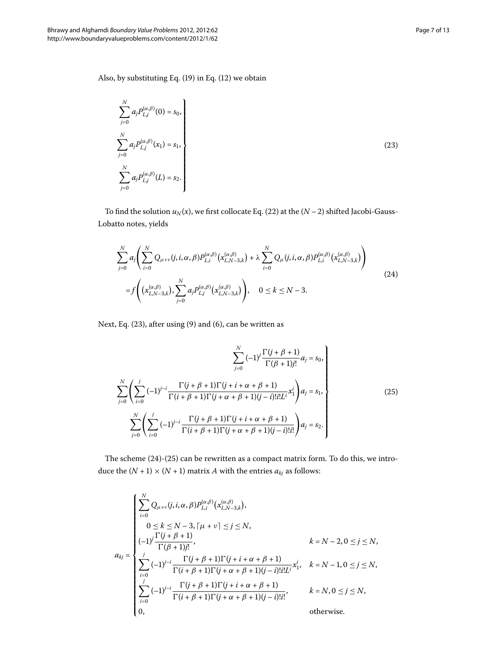<span id="page-6-0"></span>
$$
\sum_{j=0}^{N} a_j P_{L,j}^{(\alpha,\beta)}(0) = s_0,
$$
\n
$$
\sum_{j=0}^{N} a_j P_{L,j}^{(\alpha,\beta)}(x_1) = s_1,
$$
\n
$$
\sum_{j=0}^{N} a_j P_{L,j}^{(\alpha,\beta)}(L) = s_2.
$$
\n(23)

To find the solution  $u_N(x)$  $u_N(x)$  $u_N(x)$ , we first collocate Eq. (22) at the  $(N-2)$  shifted Jacobi-Gauss-Lobatto notes, yields

<span id="page-6-1"></span>
$$
\sum_{j=0}^{N} a_j \left( \sum_{i=0}^{N} Q_{\mu+\nu}(j, i, \alpha, \beta) P_{L,i}^{(\alpha,\beta)}(x_{L,N-3,k}^{(\alpha,\beta)}) + \lambda \sum_{i=0}^{N} Q_{\mu}(j, i, \alpha, \beta) P_{L,i}^{(\alpha,\beta)}(x_{L,N-3,k}^{(\alpha,\beta)}) \right)
$$
  
=  $f \left( (x_{L,N-3,k}^{(\alpha,\beta)}), \sum_{j=0}^{N} a_j P_{L,j}^{(\alpha,\beta)}(x_{L,N-3,k}^{(\alpha,\beta)}) \right), \quad 0 \le k \le N-3.$  (24)

Next, Eq.  $(23)$  $(23)$ , after using  $(9)$  and  $(6)$ , can be written as

<span id="page-6-2"></span>
$$
\sum_{j=0}^{N} (-1)^{j} \frac{\Gamma(j + \beta + 1)}{\Gamma(\beta + 1)j!} a_{j} = s_{0},
$$
\n
$$
\sum_{j=0}^{N} \left( \sum_{i=0}^{j} (-1)^{j-i} \frac{\Gamma(j + \beta + 1)\Gamma(j + i + \alpha + \beta + 1)}{\Gamma(i + \beta + 1)\Gamma(j + \alpha + \beta + 1)(j - i)!i!L^{i}} x_{1}^{i} \right) a_{j} = s_{1},
$$
\n
$$
\sum_{j=0}^{N} \left( \sum_{i=0}^{j} (-1)^{j-i} \frac{\Gamma(j + \beta + 1)\Gamma(j + i + \alpha + \beta + 1)}{\Gamma(i + \beta + 1)\Gamma(j + \alpha + \beta + 1)(j - i)!i!} \right) a_{j} = s_{2}.
$$
\n(25)

The scheme  $(24)-(25)$  $(24)-(25)$  $(24)-(25)$  can be rewritten as a compact matrix form. To do this, we introduce the  $(N + 1) \times (N + 1)$  matrix *A* with the entries  $a_{kj}$  as follows:

$$
a_{kj} = \begin{cases}\n\sum_{i=0}^{N} Q_{\mu+\nu}(j, i, \alpha, \beta) P_{L,i}^{(\alpha,\beta)}(x_{L,N-3,k}^{(\alpha,\beta)}), & 0 \le k \le N-3, [\mu+\nu] \le j \le N, \\
(-1)^{j} \frac{\Gamma(j+\beta+1)}{\Gamma(\beta+1)j!}, & k = N-2, 0 \le j \le N, \\
\sum_{i=0}^{j} (-1)^{j-i} \frac{\Gamma(j+\beta+1)\Gamma(j+i+\alpha+\beta+1)}{\Gamma(i+\beta+1)\Gamma(j+\alpha+\beta+1)(j-i)!i!L^{i}} x_{1}^{i}, & k = N-1, 0 \le j \le N, \\
\sum_{i=0}^{j} (-1)^{j-i} \frac{\Gamma(j+\beta+1)\Gamma(j+i+\alpha+\beta+1)}{\Gamma(i+\beta+1)\Gamma(j+\alpha+\beta+1)(j-i)!i!}, & k = N, 0 \le j \le N, \\
0, & \text{otherwise.} \n\end{cases}
$$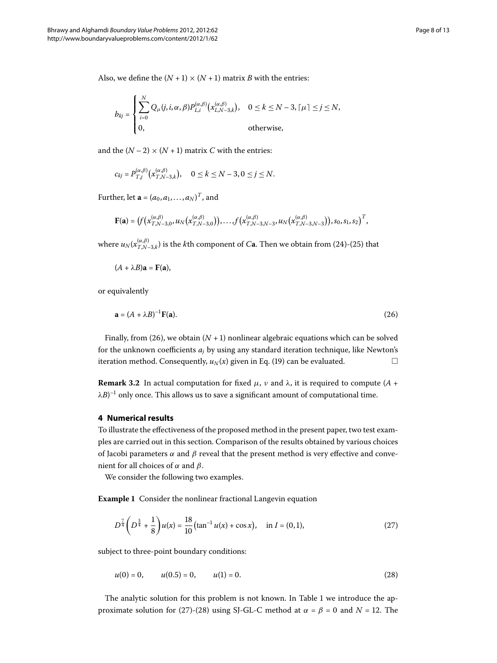Also, we define the  $(N + 1) \times (N + 1)$  matrix *B* with the entries:

$$
b_{kj} = \begin{cases} \sum_{i=0}^{N} Q_{\mu}(j, i, \alpha, \beta) P_{L,i}^{(\alpha, \beta)}(x_{L,N-3,k}^{(\alpha, \beta)}), & 0 \leq k \leq N-3, \lceil \mu \rceil \leq j \leq N, \\ 0, & \text{otherwise,} \end{cases}
$$

and the  $(N – 2) \times (N + 1)$  matrix *C* with the entries:

$$
c_{kj} = P_{T,j}^{(\alpha,\beta)}(x_{T,N-3,k}^{(\alpha,\beta)}), \quad 0 \le k \le N-3, 0 \le j \le N.
$$

Further, let  $\mathbf{a} = (a_0, a_1, \dots, a_N)^T$ , and

<span id="page-7-1"></span>
$$
\mathbf{F}(\mathbf{a}) = (f(x_{T,N-3,0}^{(\alpha,\beta)},u_N(x_{T,N-3,0}^{(\alpha,\beta)})),...,f(x_{T,N-3,N-3}^{(\alpha,\beta)},u_N(x_{T,N-3,N-3}^{(\alpha,\beta)})),s_0,s_1,s_2)^T,
$$

where  $u_N(x_{T,N-3,k}^{(\alpha,\beta)})$  $u_N(x_{T,N-3,k}^{(\alpha,\beta)})$  $u_N(x_{T,N-3,k}^{(\alpha,\beta)})$  is the  $k$ th component of  $C$ **a**. Then we obtain from (24)-(25) that

 $(A + \lambda B)\mathbf{a} = \mathbf{F}(\mathbf{a}),$ 

or equivalently

$$
\mathbf{a} = (A + \lambda B)^{-1} \mathbf{F}(\mathbf{a}).
$$
 (26)

<span id="page-7-0"></span>Finally, from (26), we obtain  $(N + 1)$  nonlinear algebraic equations which can be solved for the unknown coefficients *aj* by using any standard iteration technique, like Newton's iteration method. Consequently,  $u_N(x)$  $u_N(x)$  $u_N(x)$  given in Eq. (19) can be evaluated.  $\Box$ 

**Remark 3.2** In actual computation for fixed  $\mu$ ,  $\nu$  and  $\lambda$ , it is required to compute (*A* + λ $B) ^{-1}$  only once. This allows us to save a significant amount of computational time.

### <span id="page-7-4"></span>**4 Numerical results**

To illustrate the effectiveness of the proposed method in the present paper, two test examples are carried out in this section. Comparison of the results obtained by various choices of Jacobi parameters  $\alpha$  and  $\beta$  reveal that the present method is very effective and convenient for all choices of *α* and *β*.

We consider the following two examples.

**Example 1** Consider the nonlinear fractional Langevin equation

<span id="page-7-3"></span><span id="page-7-2"></span>
$$
D^{\frac{7}{4}}\left(D^{\frac{3}{4}}+\frac{1}{8}\right)u(x)=\frac{18}{10}(\tan^{-1}u(x)+\cos x), \quad \text{in } I=(0,1),\tag{27}
$$

subject to three-point boundary conditions:

 $u(0) = 0,$   $u(0.5) = 0,$   $u(1) = 0.$  (28)

The analytic solution for this problem is not known. In Table 1 we introduce the ap-proximate solution for (27[\)](#page-7-3)-(28) using SJ-GL-C method at  $\alpha = \beta = 0$  and  $N = 12$ . The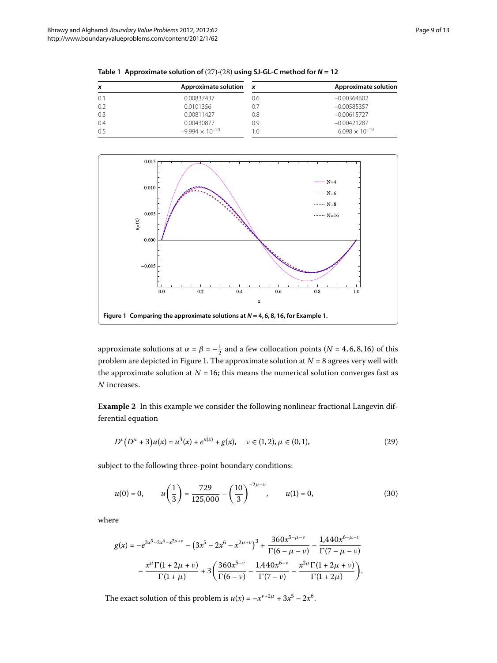| x   | Approximate solution     | $\boldsymbol{x}$ | Approximate solution    |
|-----|--------------------------|------------------|-------------------------|
| 0.1 | 0.00837437               | 0.6              | $-0.00364602$           |
| 0.2 | 0.0101356                |                  | $-0.00585357$           |
| 0.3 | 0.00811427               | 0.8              | $-0.00615727$           |
| 0.4 | 0.00430877               | 0.9              | $-0.00421287$           |
| 0.5 | $-9.994 \times 10^{-20}$ |                  | $6.098 \times 10^{-19}$ |

<span id="page-8-0"></span>Table 1 Approximate solution of  $(27)-(28)$  $(27)-(28)$  $(27)-(28)$  using SJ-GL-C method for  $N = 12$ 

<span id="page-8-1"></span>

<span id="page-8-2"></span>approximate solutions at  $\alpha = \beta = -\frac{1}{2}$  and a few collocation points ( $N = 4, 6, 8, 16$ ) of this problem are depicted in Figure 1[.](#page-8-1) The approximate solution at  $N = 8$  agrees very well with the approximate solution at  $N = 16$ ; this means the numerical solution converges fast as *N* increases.

**Example 2** In this example we consider the following nonlinear fractional Langevin differential equation

$$
D^{\nu}(D^{\mu}+3)u(x) = u^{3}(x) + e^{u(x)} + g(x), \quad \nu \in (1,2), \mu \in (0,1), \tag{29}
$$

subject to the following three-point boundary conditions:

$$
u(0) = 0, \qquad u\left(\frac{1}{3}\right) = \frac{729}{125,000} - \left(\frac{10}{3}\right)^{-2\mu-\nu}, \qquad u(1) = 0,\tag{30}
$$

where

$$
g(x) = -e^{3x^5 - 2x^6 - x^{2\mu + \nu}} - (3x^5 - 2x^6 - x^{2\mu + \nu})^3 + \frac{360x^{5 - \mu - \nu}}{\Gamma(6 - \mu - \nu)} - \frac{1,440x^{6 - \mu - \nu}}{\Gamma(7 - \mu - \nu)} - \frac{x^{\mu}\Gamma(1 + 2\mu + \nu)}{\Gamma(1 + \mu)} + 3\left(\frac{360x^{5 - \nu}}{\Gamma(6 - \nu)} - \frac{1,440x^{6 - \nu}}{\Gamma(7 - \nu)} - \frac{x^{2\mu}\Gamma(1 + 2\mu + \nu)}{\Gamma(1 + 2\mu)}\right).
$$

The exact solution of this problem is  $u(x) = -x^{\nu+2\mu} + 3x^5 - 2x^6$ .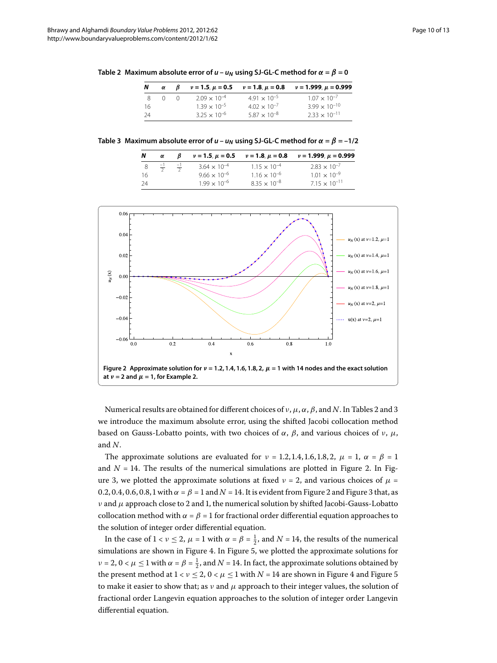<span id="page-9-1"></span><span id="page-9-0"></span>

| N   | α |                       | $v = 1.5$ , $\mu = 0.5$ $v = 1.8$ , $\mu = 0.8$ | $\nu = 1.999$ , $\mu = 0.999$ |
|-----|---|-----------------------|-------------------------------------------------|-------------------------------|
| -8  |   | $2.09 \times 10^{-4}$ | $491 \times 10^{-5}$                            | $1.07 \times 10^{-7}$         |
| -16 |   | $1.39 \times 10^{-5}$ | $4.02 \times 10^{-7}$                           | $3.99 \times 10^{-10}$        |
| 24  |   | $3.25 \times 10^{-6}$ | $5.87 \times 10^{-8}$                           | $2.33 \times 10^{-11}$        |

**Table 3 Maximum absolute error of**  $u - u_N$  **using SJ-GL-C method for**  $\alpha = \beta = -1/2$ 

|    | α              |                |                       |                       | $v = 1.5$ , $\mu = 0.5$ $v = 1.8$ , $\mu = 0.8$ $v = 1.999$ , $\mu = 0.999$ |
|----|----------------|----------------|-----------------------|-----------------------|-----------------------------------------------------------------------------|
|    | $\frac{-1}{2}$ | $\frac{-1}{2}$ | $3.64 \times 10^{-4}$ | $1.15 \times 10^{-4}$ | $2.83 \times 10^{-7}$                                                       |
| 16 |                |                | $9.66 \times 10^{-6}$ | $1.16 \times 10^{-6}$ | $1.01 \times 10^{-9}$                                                       |
| 24 |                |                | $1.99 \times 10^{-6}$ | $8.35 \times 10^{-8}$ | $7.15 \times 10^{-11}$                                                      |

<span id="page-9-2"></span>

Numerical results are obtained for different choices of  $\nu$ ,  $\mu$ ,  $\alpha$ ,  $\beta$ , and *N*. In Tables 2 and 3 we introduce the maximum absolute error, using the shifted Jacobi collocation method based on Gauss-Lobatto points, with two choices of  $\alpha$ ,  $\beta$ , and various choices of *ν*,  $\mu$ , and *N*.

The approximate solutions are evaluated for  $\nu = 1.2, 1.4, 1.6, 1.8, 2, \mu = 1, \alpha = \beta = 1$ and  $N = 14$ [.](#page-9-2) The results of the numerical simulations are plotted in Figure 2. In Figure 3, we plotted the approximate solutions at fixed  $\nu = 2$ , and various choices of  $\mu =$ 0.2, 0.4, 0.6, 0.8, 1 with  $\alpha = \beta = 1$  and  $N = 14$ . It is evident from Figure 2 and Figure 3 that, as *ν* and *μ* approach close to 2 and 1, the numerical solution by shifted Jacobi-Gauss-Lobatto collocation method with  $\alpha = \beta = 1$  for fractional order differential equation approaches to the solution of integer order differential equation.

In the case of  $1 < \nu \leq 2$ ,  $\mu = 1$  with  $\alpha = \beta = \frac{1}{2}$ , and  $N = 14$ , the results of the numerical simulations are shown in Figure 4. In Figure 5[,](#page-11-9) we plotted the approximate solutions for *ν* = 2, 0 <  $\mu \le 1$  with  $\alpha = \beta = \frac{1}{2}$ , and  $N = 14$ . In fact, the approximate solutions obtained by the present method at  $1 < v \le 2$ ,  $0 < \mu \le 1$  with  $N = 14$  are shown in Figure 4 and Figure 5 to make it easier to show that; as  $\nu$  and  $\mu$  approach to their integer values, the solution of fractional order Langevin equation approaches to the solution of integer order Langevin differential equation.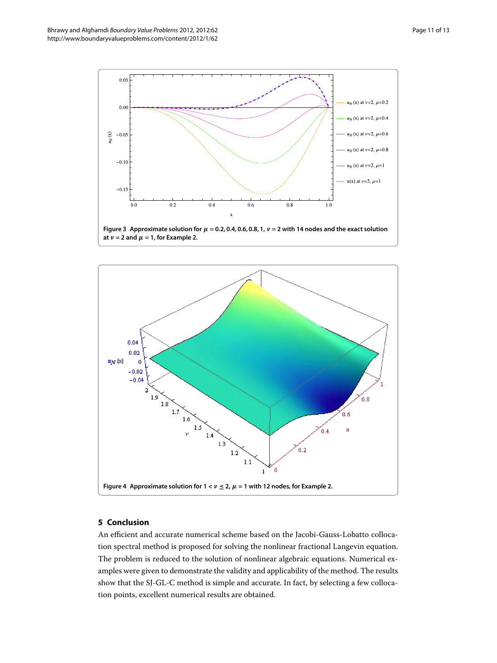

<span id="page-10-1"></span>

## <span id="page-10-2"></span><span id="page-10-0"></span>**5 Conclusion**

An efficient and accurate numerical scheme based on the Jacobi-Gauss-Lobatto collocation spectral method is proposed for solving the nonlinear fractional Langevin equation. The problem is reduced to the solution of nonlinear algebraic equations. Numerical examples were given to demonstrate the validity and applicability of the method. The results show that the SJ-GL-C method is simple and accurate. In fact, by selecting a few collocation points, excellent numerical results are obtained.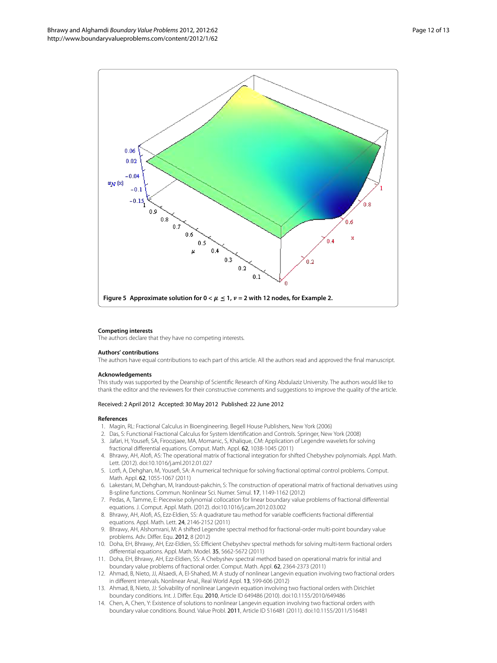

#### <span id="page-11-9"></span>**Competing interests**

The authors declare that they have no competing interests.

#### <span id="page-11-0"></span>**Authors' contributions**

<span id="page-11-2"></span><span id="page-11-1"></span>The authors have equal contributions to each part of this article. All the authors read and approved the final manuscript.

#### **Acknowledgements**

This study was supported by the Deanship of Scientific Research of King Abdulaziz University. The authors would like to thank the editor and the reviewers for their constructive comments and suggestions to improve the quality of the article.

#### Received: 2 April 2012 Accepted: 30 May 2012 Published: 22 June 2012

#### <span id="page-11-4"></span><span id="page-11-3"></span>**References**

- 1. Magin, RL: Fractional Calculus in Bioengineering. Begell House Publishers, New York (2006)
- 2. Das, S: Functional Fractional Calculus for System Identification and Controls. Springer, New York (2008)
- 3. Jafari, H, Yousefi, SA, Firoozjaee, MA, Momanic, S, Khalique, CM: Application of Legendre wavelets for solving fractional differential equations. Comput. Math. Appl. 62, 1038-1045 (2011)
- 4. Bhrawy, AH, Alofi, AS: The operational matrix of fractional integration for shifted Chebyshev polynomials. Appl. Math. Lett. (2012). doi:[10.1016/j.aml.2012.01.027](http://dx.doi.org/10.1016/j.aml.2012.01.027)
- 5. Lotfi, A, Dehghan, M, Yousefi, SA: A numerical technique for solving fractional optimal control problems. Comput. Math. Appl. 62, 1055-1067 (2011).
- <span id="page-11-5"></span>6. Lakestani, M, Dehghan, M, Irandoust-pakchin, S: The construction of operational matrix of fractional derivatives using B-spline functions. Commun. Nonlinear Sci. Numer. Simul. 17, 1149-1162 (2012)
- <span id="page-11-6"></span>7. Pedas, A, Tamme, E: Piecewise polynomial collocation for linear boundary value problems of fractional differential equations. J. Comput. Appl. Math. (2012). doi:[10.1016/j.cam.2012.03.002](http://dx.doi.org/10.1016/j.cam.2012.03.002)
- <span id="page-11-7"></span>8. Bhrawy, AH, Alofi, AS, Ezz-Eldien, SS: A quadrature tau method for variable coefficients fractional differential equations. Appl. Math. Lett. 24, 2146-2152 (2011)
- 9. Bhrawy, AH, Alshomrani, M: A shifted Legendre spectral method for fractional-order multi-point boundary value problems. Adv. Differ. Equ. 2012, 8 (2012)
- <span id="page-11-8"></span>10. Doha, EH, Bhrawy, AH, Ezz-Eldien, SS: Efficient Chebyshev spectral methods for solving multi-term fractional orders differential equations. Appl. Math. Model. 35, 5662-5672 (2011)
- 11. Doha, EH, Bhrawy, AH, Ezz-Eldien, SS: A Chebyshev spectral method based on operational matrix for initial and boundary value problems of fractional order. Comput. Math. Appl. 62, 2364-2373 (2011)
- 12. Ahmad, B, Nieto, JJ, Alsaedi, A, El-Shahed, M: A study of nonlinear Langevin equation involving two fractional orders in different intervals. Nonlinear Anal., Real World Appl. 13, 599-606 (2012)
- 13. Ahmad, B, Nieto, JJ: Solvability of nonlinear Langevin equation involving two fractional orders with Dirichlet boundary conditions. Int. J. Differ. Equ. 2010, Article ID 649486 (2010). doi:[10.1155/2010/649486](http://dx.doi.org/10.1155/2010/649486)
- 14. Chen, A, Chen, Y: Existence of solutions to nonlinear Langevin equation involving two fractional orders with boundary value conditions. Bound. Value Probl. 2011, Article ID 516481 (2011). doi:[10.1155/2011/516481](http://dx.doi.org/10.1155/2011/516481)